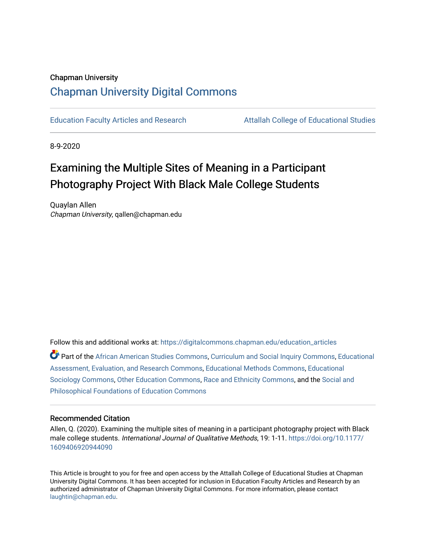## Chapman University [Chapman University Digital Commons](https://digitalcommons.chapman.edu/)

[Education Faculty Articles and Research](https://digitalcommons.chapman.edu/education_articles) [Attallah College of Educational Studies](https://digitalcommons.chapman.edu/ces) 

8-9-2020

# Examining the Multiple Sites of Meaning in a Participant Photography Project With Black Male College Students

Quaylan Allen Chapman University, qallen@chapman.edu

Follow this and additional works at: [https://digitalcommons.chapman.edu/education\\_articles](https://digitalcommons.chapman.edu/education_articles?utm_source=digitalcommons.chapman.edu%2Feducation_articles%2F266&utm_medium=PDF&utm_campaign=PDFCoverPages)

Part of the [African American Studies Commons,](http://network.bepress.com/hgg/discipline/567?utm_source=digitalcommons.chapman.edu%2Feducation_articles%2F266&utm_medium=PDF&utm_campaign=PDFCoverPages) [Curriculum and Social Inquiry Commons,](http://network.bepress.com/hgg/discipline/1038?utm_source=digitalcommons.chapman.edu%2Feducation_articles%2F266&utm_medium=PDF&utm_campaign=PDFCoverPages) [Educational](http://network.bepress.com/hgg/discipline/796?utm_source=digitalcommons.chapman.edu%2Feducation_articles%2F266&utm_medium=PDF&utm_campaign=PDFCoverPages) [Assessment, Evaluation, and Research Commons](http://network.bepress.com/hgg/discipline/796?utm_source=digitalcommons.chapman.edu%2Feducation_articles%2F266&utm_medium=PDF&utm_campaign=PDFCoverPages), [Educational Methods Commons](http://network.bepress.com/hgg/discipline/1227?utm_source=digitalcommons.chapman.edu%2Feducation_articles%2F266&utm_medium=PDF&utm_campaign=PDFCoverPages), [Educational](http://network.bepress.com/hgg/discipline/1071?utm_source=digitalcommons.chapman.edu%2Feducation_articles%2F266&utm_medium=PDF&utm_campaign=PDFCoverPages)  [Sociology Commons](http://network.bepress.com/hgg/discipline/1071?utm_source=digitalcommons.chapman.edu%2Feducation_articles%2F266&utm_medium=PDF&utm_campaign=PDFCoverPages), [Other Education Commons](http://network.bepress.com/hgg/discipline/811?utm_source=digitalcommons.chapman.edu%2Feducation_articles%2F266&utm_medium=PDF&utm_campaign=PDFCoverPages), [Race and Ethnicity Commons](http://network.bepress.com/hgg/discipline/426?utm_source=digitalcommons.chapman.edu%2Feducation_articles%2F266&utm_medium=PDF&utm_campaign=PDFCoverPages), and the [Social and](http://network.bepress.com/hgg/discipline/799?utm_source=digitalcommons.chapman.edu%2Feducation_articles%2F266&utm_medium=PDF&utm_campaign=PDFCoverPages) [Philosophical Foundations of Education Commons](http://network.bepress.com/hgg/discipline/799?utm_source=digitalcommons.chapman.edu%2Feducation_articles%2F266&utm_medium=PDF&utm_campaign=PDFCoverPages) 

### Recommended Citation

Allen, Q. (2020). Examining the multiple sites of meaning in a participant photography project with Black male college students. International Journal of Qualitative Methods, 19: 1-11. [https://doi.org/10.1177/](https://doi.org/10.1177/1609406920944090) [1609406920944090](https://doi.org/10.1177/1609406920944090) 

This Article is brought to you for free and open access by the Attallah College of Educational Studies at Chapman University Digital Commons. It has been accepted for inclusion in Education Faculty Articles and Research by an authorized administrator of Chapman University Digital Commons. For more information, please contact [laughtin@chapman.edu.](mailto:laughtin@chapman.edu)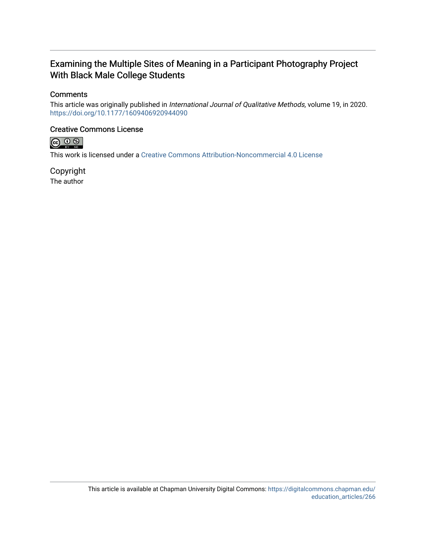## Examining the Multiple Sites of Meaning in a Participant Photography Project With Black Male College Students

## **Comments**

This article was originally published in International Journal of Qualitative Methods, volume 19, in 2020. <https://doi.org/10.1177/1609406920944090>

## Creative Commons License



This work is licensed under a [Creative Commons Attribution-Noncommercial 4.0 License](https://creativecommons.org/licenses/by-nc/4.0/) 

Copyright The author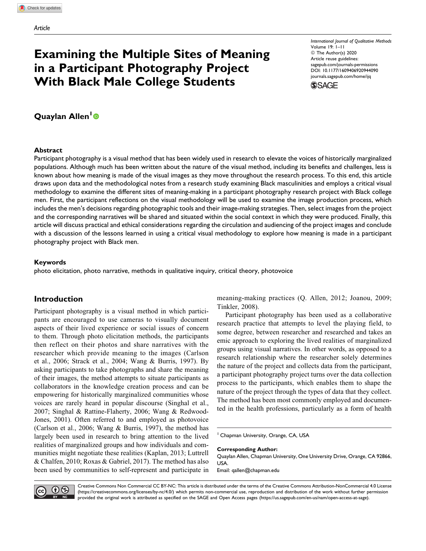# Examining the Multiple Sites of Meaning in a Participant Photography Project With Black Male College Students

International Journal of Qualitative Methods Volume 19: 1–11 © The Author(s) 2020 Article reuse guidelines: [sagepub.com/journals-permissions](https://sagepub.com/journals-permissions) [DOI: 10.1177/1609406920944090](https://doi.org/10.1177/1609406920944090) [journals.sagepub.com/home/ijq](http://journals.sagepub.com/home/ijq)



## Quaylan Allen<sup>1</sup><sup>®</sup>

#### Abstract

Participant photography is a visual method that has been widely used in research to elevate the voices of historically marginalized populations. Although much has been written about the nature of the visual method, including its benefits and challenges, less is known about how meaning is made of the visual images as they move throughout the research process. To this end, this article draws upon data and the methodological notes from a research study examining Black masculinities and employs a critical visual methodology to examine the different sites of meaning-making in a participant photography research project with Black college men. First, the participant reflections on the visual methodology will be used to examine the image production process, which includes the men's decisions regarding photographic tools and their image-making strategies. Then, select images from the project and the corresponding narratives will be shared and situated within the social context in which they were produced. Finally, this article will discuss practical and ethical considerations regarding the circulation and audiencing of the project images and conclude with a discussion of the lessons learned in using a critical visual methodology to explore how meaning is made in a participant photography project with Black men.

#### Keywords

photo elicitation, photo narrative, methods in qualitative inquiry, critical theory, photovoice

## Introduction

Participant photography is a visual method in which participants are encouraged to use cameras to visually document aspects of their lived experience or social issues of concern to them. Through photo elicitation methods, the participants then reflect on their photos and share narratives with the researcher which provide meaning to the images (Carlson et al., 2006; Strack et al., 2004; Wang & Burris, 1997). By asking participants to take photographs and share the meaning of their images, the method attempts to situate participants as collaborators in the knowledge creation process and can be empowering for historically marginalized communities whose voices are rarely heard in popular discourse (Singhal et al., 2007; Singhal & Rattine-Flaherty, 2006; Wang & Redwood-Jones, 2001). Often referred to and employed as photovoice (Carlson et al., 2006; Wang & Burris, 1997), the method has largely been used in research to bring attention to the lived realities of marginalized groups and how individuals and communities might negotiate these realities (Kaplan, 2013; Luttrell & Chalfen, 2010; Roxas & Gabriel, 2017). The method has also been used by communities to self-represent and participate in

meaning-making practices (Q. Allen, 2012; Joanou, 2009; Tinkler, 2008).

Participant photography has been used as a collaborative research practice that attempts to level the playing field, to some degree, between researcher and researched and takes an emic approach to exploring the lived realities of marginalized groups using visual narratives. In other words, as opposed to a research relationship where the researcher solely determines the nature of the project and collects data from the participant, a participant photography project turns over the data collection process to the participants, which enables them to shape the nature of the project through the types of data that they collect. The method has been most commonly employed and documented in the health professions, particularly as a form of health

<sup>1</sup> Chapman University, Orange, CA, USA

#### Corresponding Author:

Quaylan Allen, Chapman University, One University Drive, Orange, CA 92866, USA.

Email: [qallen@chapman.edu](mailto:qallen@chapman.edu)



Creative Commons Non Commercial CC BY-NC: This article is distributed under the terms of the Creative Commons Attribution-NonCommercial 4.0 License (<https://creativecommons.org/licenses/by-nc/4.0/>) which permits non-commercial use, reproduction and distribution of the work without further permission provided the original work is attributed as specified on the SAGE and Open Access pages [\(https://us.sagepub.com/en-us/nam/open-access-at-sage\)](https://us.sagepub.com/en-us/nam/open-access-at-sage).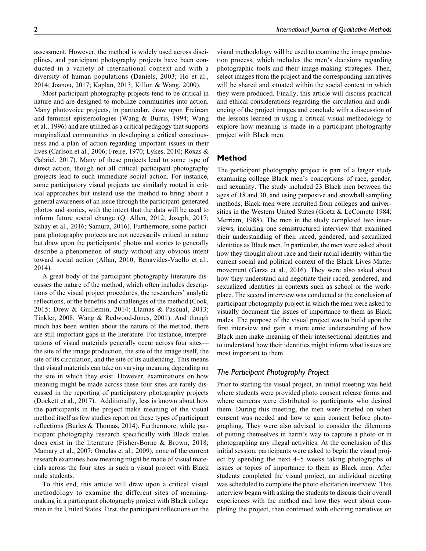assessment. However, the method is widely used across disciplines, and participant photography projects have been conducted in a variety of international context and with a diversity of human populations (Daniels, 2003; Ho et al., 2014; Joanou, 2017; Kaplan, 2013; Killon & Wang, 2000).

Most participant photography projects tend to be critical in nature and are designed to mobilize communities into action. Many photovoice projects, in particular, draw upon Freirean and feminist epistemologies (Wang & Burris, 1994; Wang et al., 1996) and are utilized as a critical pedagogy that supports marginalized communities in developing a critical consciousness and a plan of action regarding important issues in their lives (Carlson et al., 2006; Freire, 1970; Lykes, 2010; Roxas & Gabriel, 2017). Many of these projects lead to some type of direct action, though not all critical participant photography projects lead to such immediate social action. For instance, some participatory visual projects are similarly rooted in critical approaches but instead use the method to bring about a general awareness of an issue through the participant-generated photos and stories, with the intent that the data will be used to inform future social change (Q. Allen, 2012; Joseph, 2017; Sahay et al., 2016; Samura, 2016). Furthermore, some participant photography projects are not necessarily critical in nature but draw upon the participants' photos and stories to generally describe a phenomenon of study without any obvious intent toward social action (Allan, 2010; Benavides-Vaello et al., 2014).

A great body of the participant photography literature discusses the nature of the method, which often includes descriptions of the visual project procedures, the researchers' analytic reflections, or the benefits and challenges of the method (Cook, 2015; Drew & Guillemin, 2014; Llamas & Pascual, 2013; Tinkler, 2008; Wang & Redwood-Jones, 2001). And though much has been written about the nature of the method, there are still important gaps in the literature. For instance, interpretations of visual materials generally occur across four sites the site of the image production, the site of the image itself, the site of its circulation, and the site of its audiencing. This means that visual materials can take on varying meaning depending on the site in which they exist. However, examinations on how meaning might be made across these four sites are rarely discussed in the reporting of participatory photography projects (Dockett et al., 2017). Additionally, less is known about how the participants in the project make meaning of the visual method itself as few studies report on these types of participant reflections (Burles & Thomas, 2014). Furthermore, while participant photography research specifically with Black males does exist in the literature (Fisher-Borne & Brown, 2018; Mamary et al., 2007; Ornelas et al., 2009), none of the current research examines how meaning might be made of visual materials across the four sites in such a visual project with Black male students.

To this end, this article will draw upon a critical visual methodology to examine the different sites of meaningmaking in a participant photography project with Black college men in the United States. First, the participant reflections on the visual methodology will be used to examine the image production process, which includes the men's decisions regarding photographic tools and their image-making strategies. Then, select images from the project and the corresponding narratives will be shared and situated within the social context in which they were produced. Finally, this article will discuss practical and ethical considerations regarding the circulation and audiencing of the project images and conclude with a discussion of the lessons learned in using a critical visual methodology to explore how meaning is made in a participant photography project with Black men.

#### Method

The participant photography project is part of a larger study examining college Black men's conceptions of race, gender, and sexuality. The study included 23 Black men between the ages of 18 and 30, and using purposive and snowball sampling methods, Black men were recruited from colleges and universities in the Western United States (Goetz & LeCompte 1984; Merriam, 1988). The men in the study completed two interviews, including one semistructured interview that examined their understanding of their raced, gendered, and sexualized identities as Black men. In particular, the men were asked about how they thought about race and their racial identity within the current social and political context of the Black Lives Matter movement (Garza et al., 2016). They were also asked about how they understand and negotiate their raced, gendered, and sexualized identities in contexts such as school or the workplace. The second interview was conducted at the conclusion of participant photography project in which the men were asked to visually document the issues of importance to them as Black males. The purpose of the visual project was to build upon the first interview and gain a more emic understanding of how Black men make meaning of their intersectional identities and to understand how their identities might inform what issues are most important to them.

#### The Participant Photography Project

Prior to starting the visual project, an initial meeting was held where students were provided photo consent release forms and where cameras were distributed to participants who desired them. During this meeting, the men were briefed on when consent was needed and how to gain consent before photographing. They were also advised to consider the dilemmas of putting themselves in harm's way to capture a photo or in photographing any illegal activities. At the conclusion of this initial session, participants were asked to begin the visual project by spending the next 4–5 weeks taking photographs of issues or topics of importance to them as Black men. After students completed the visual project, an individual meeting was scheduled to complete the photo elicitation interview. This interview began with asking the students to discuss their overall experiences with the method and how they went about completing the project, then continued with eliciting narratives on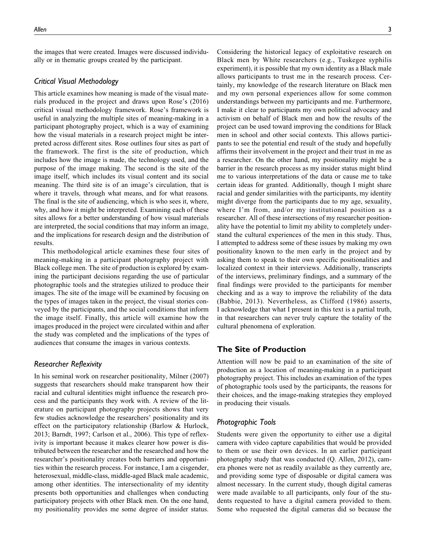the images that were created. Images were discussed individually or in thematic groups created by the participant.

#### Critical Visual Methodology

This article examines how meaning is made of the visual materials produced in the project and draws upon Rose's (2016) critical visual methodology framework. Rose's framework is useful in analyzing the multiple sites of meaning-making in a participant photography project, which is a way of examining how the visual materials in a research project might be interpreted across different sites. Rose outlines four sites as part of the framework. The first is the site of production, which includes how the image is made, the technology used, and the purpose of the image making. The second is the site of the image itself, which includes its visual content and its social meaning. The third site is of an image's circulation, that is where it travels, through what means, and for what reasons. The final is the site of audiencing, which is who sees it, where, why, and how it might be interpreted. Examining each of these sites allows for a better understanding of how visual materials are interpreted, the social conditions that may inform an image, and the implications for research design and the distribution of results.

This methodological article examines these four sites of meaning-making in a participant photography project with Black college men. The site of production is explored by examining the participant decisions regarding the use of particular photographic tools and the strategies utilized to produce their images. The site of the image will be examined by focusing on the types of images taken in the project, the visual stories conveyed by the participants, and the social conditions that inform the image itself. Finally, this article will examine how the images produced in the project were circulated within and after the study was completed and the implications of the types of audiences that consume the images in various contexts.

#### Researcher Reflexivity

In his seminal work on researcher positionality, Milner (2007) suggests that researchers should make transparent how their racial and cultural identities might influence the research process and the participants they work with. A review of the literature on participant photography projects shows that very few studies acknowledge the researchers' positionality and its effect on the participatory relationship (Barlow & Hurlock, 2013; Barndt, 1997; Carlson et al., 2006). This type of reflexivity is important because it makes clearer how power is distributed between the researcher and the researched and how the researcher's positionality creates both barriers and opportunities within the research process. For instance, I am a cisgender, heterosexual, middle-class, middle-aged Black male academic, among other identities. The intersectionality of my identity presents both opportunities and challenges when conducting participatory projects with other Black men. On the one hand, my positionality provides me some degree of insider status. Considering the historical legacy of exploitative research on Black men by White researchers (e.g., Tuskegee syphilis experiment), it is possible that my own identity as a Black male allows participants to trust me in the research process. Certainly, my knowledge of the research literature on Black men and my own personal experiences allow for some common understandings between my participants and me. Furthermore, I make it clear to participants my own political advocacy and activism on behalf of Black men and how the results of the project can be used toward improving the conditions for Black men in school and other social contexts. This allows participants to see the potential end result of the study and hopefully affirms their involvement in the project and their trust in me as a researcher. On the other hand, my positionality might be a barrier in the research process as my insider status might blind me to various interpretations of the data or cause me to take certain ideas for granted. Additionally, though I might share racial and gender similarities with the participants, my identity might diverge from the participants due to my age, sexuality, where I'm from, and/or my institutional position as a researcher. All of these intersections of my researcher positionality have the potential to limit my ability to completely understand the cultural experiences of the men in this study. Thus, I attempted to address some of these issues by making my own positionality known to the men early in the project and by asking them to speak to their own specific positionalities and localized context in their interviews. Additionally, transcripts of the interviews, preliminary findings, and a summary of the final findings were provided to the participants for member checking and as a way to improve the reliability of the data (Babbie, 2013). Nevertheless, as Clifford (1986) asserts, I acknowledge that what I present in this text is a partial truth, in that researchers can never truly capture the totality of the cultural phenomena of exploration.

#### The Site of Production

Attention will now be paid to an examination of the site of production as a location of meaning-making in a participant photography project. This includes an examination of the types of photographic tools used by the participants, the reasons for their choices, and the image-making strategies they employed in producing their visuals.

#### Photographic Tools

Students were given the opportunity to either use a digital camera with video capture capabilities that would be provided to them or use their own devices. In an earlier participant photography study that was conducted (Q. Allen, 2012), camera phones were not as readily available as they currently are, and providing some type of disposable or digital camera was almost necessary. In the current study, though digital cameras were made available to all participants, only four of the students requested to have a digital camera provided to them. Some who requested the digital cameras did so because the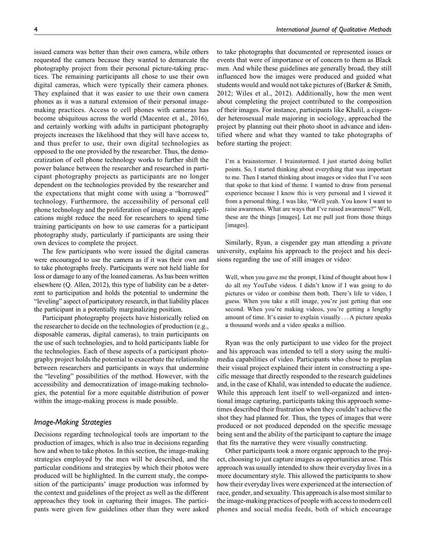issued camera was better than their own camera, while others requested the camera because they wanted to demarcate the photography project from their personal picture-taking practices. The remaining participants all chose to use their own digital cameras, which were typically their camera phones. They explained that it was easier to use their own camera phones as it was a natural extension of their personal imagemaking practices. Access to cell phones with cameras has become ubiquitous across the world (Macentee et al., 2016), and certainly working with adults in participant photography projects increases the likelihood that they will have access to, and thus prefer to use, their own digital technologies as opposed to the one provided by the researcher. Thus, the democratization of cell phone technology works to further shift the power balance between the researcher and researched in participant photography projects as participants are no longer dependent on the technologies provided by the researcher and the expectations that might come with using a "borrowed" technology. Furthermore, the accessibility of personal cell phone technology and the proliferation of image-making applications might reduce the need for researchers to spend time training participants on how to use cameras for a participant photography study, particularly if participants are using their own devices to complete the project.

The few participants who were issued the digital cameras were encouraged to use the camera as if it was their own and to take photographs freely. Participants were not held liable for loss or damage to any of the loaned cameras. As has been written elsewhere (Q. Allen, 2012), this type of liability can be a deterrent to participation and holds the potential to undermine the "leveling" aspect of participatory research, in that liability places the participant in a potentially marginalizing position.

Participant photography projects have historically relied on the researcher to decide on the technologies of production (e.g., disposable cameras, digital cameras), to train participants on the use of such technologies, and to hold participants liable for the technologies. Each of these aspects of a participant photography project holds the potential to exacerbate the relationship between researchers and participants in ways that undermine the "leveling" possibilities of the method. However, with the accessibility and democratization of image-making technologies, the potential for a more equitable distribution of power within the image-making process is made possible.

#### Image-Making Strategies

Decisions regarding technological tools are important to the production of images, which is also true in decisions regarding how and when to take photos. In this section, the image-making strategies employed by the men will be described, and the particular conditions and strategies by which their photos were produced will be highlighted. In the current study, the composition of the participants' image production was informed by the context and guidelines of the project as well as the different approaches they took in capturing their images. The participants were given few guidelines other than they were asked to take photographs that documented or represented issues or events that were of importance or of concern to them as Black men. And while these guidelines are generally broad, they still influenced how the images were produced and guided what students would and would not take pictures of (Barker & Smith, 2012; Wiles et al., 2012). Additionally, how the men went about completing the project contributed to the composition of their images. For instance, participants like Khalil, a cisgender heterosexual male majoring in sociology, approached the project by planning out their photo shoot in advance and identified where and what they wanted to take photographs of before starting the project:

I'm a brainstormer. I brainstormed. I just started doing bullet points. So, I started thinking about everything that was important to me. Then I started thinking about images or video that I've seen that spoke to that kind of theme. I wanted to draw from personal experience because I know this is very personal and I viewed it from a personal thing. I was like, "Well yeah. You know I want to raise awareness. What are ways that I've raised awareness?" Well, these are the things [images]. Let me pull just from those things [images].

Similarly, Ryan, a cisgender gay man attending a private university, explains his approach to the project and his decisions regarding the use of still images or video:

Well, when you gave me the prompt, I kind of thought about how I do all my YouTube videos. I didn't know if I was going to do pictures or video or combine them both. There's life to video, I guess. When you take a still image, you're just getting that one second. When you're making videos, you're getting a lengthy amount of time. It's easier to explain visually ... A picture speaks a thousand words and a video speaks a million.

Ryan was the only participant to use video for the project and his approach was intended to tell a story using the multimedia capabilities of video. Participants who chose to preplan their visual project explained their intent in constructing a specific message that directly responded to the research guidelines and, in the case of Khalil, was intended to educate the audience. While this approach lent itself to well-organized and intentional image capturing, participants taking this approach sometimes described their frustration when they couldn't achieve the shot they had planned for. Thus, the types of images that were produced or not produced depended on the specific message being sent and the ability of the participant to capture the image that fits the narrative they were visually constructing.

Other participants took a more organic approach to the project, choosing to just capture images as opportunities arose. This approach was usually intended to show their everyday lives in a more documentary style. This allowed the participants to show how their everyday lives were experienced at the intersection of race, gender, and sexuality. This approach is also most similar to the image-making practices of people with access to modern cell phones and social media feeds, both of which encourage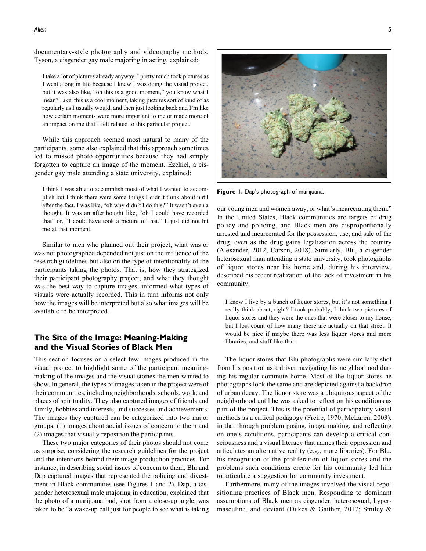documentary-style photography and videography methods. Tyson, a cisgender gay male majoring in acting, explained:

I take a lot of pictures already anyway. I pretty much took pictures as I went along in life because I knew I was doing the visual project, but it was also like, "oh this is a good moment," you know what I mean? Like, this is a cool moment, taking pictures sort of kind of as regularly as I usually would, and then just looking back and I'm like how certain moments were more important to me or made more of an impact on me that I felt related to this particular project.

While this approach seemed most natural to many of the participants, some also explained that this approach sometimes led to missed photo opportunities because they had simply forgotten to capture an image of the moment. Ezekiel, a cisgender gay male attending a state university, explained:

I think I was able to accomplish most of what I wanted to accomplish but I think there were some things I didn't think about until after the fact. I was like, "oh why didn't I do this?" It wasn't even a thought. It was an afterthought like, "oh I could have recorded that" or, "I could have took a picture of that." It just did not hit me at that moment.

Similar to men who planned out their project, what was or was not photographed depended not just on the influence of the research guidelines but also on the type of intentionality of the participants taking the photos. That is, how they strategized their participant photography project, and what they thought was the best way to capture images, informed what types of visuals were actually recorded. This in turn informs not only how the images will be interpreted but also what images will be available to be interpreted.

## The Site of the Image: Meaning-Making and the Visual Stories of Black Men

This section focuses on a select few images produced in the visual project to highlight some of the participant meaningmaking of the images and the visual stories the men wanted to show. In general, the types of images taken in the project were of their communities, including neighborhoods, schools, work, and places of spirituality. They also captured images of friends and family, hobbies and interests, and successes and achievements. The images they captured can be categorized into two major groups: (1) images about social issues of concern to them and (2) images that visually reposition the participants.

These two major categories of their photos should not come as surprise, considering the research guidelines for the project and the intentions behind their image production practices. For instance, in describing social issues of concern to them, Blu and Dap captured images that represented the policing and divestment in Black communities (see Figures 1 and 2). Dap, a cisgender heterosexual male majoring in education, explained that the photo of a marijuana bud, shot from a close-up angle, was taken to be "a wake-up call just for people to see what is taking

Figure 1. Dap's photograph of marijuana.

our young men and women away, or what's incarcerating them." In the United States, Black communities are targets of drug policy and policing, and Black men are disproportionally arrested and incarcerated for the possession, use, and sale of the drug, even as the drug gains legalization across the country (Alexander, 2012; Carson, 2018). Similarly, Blu, a cisgender heterosexual man attending a state university, took photographs of liquor stores near his home and, during his interview, described his recent realization of the lack of investment in his community:

I know I live by a bunch of liquor stores, but it's not something I really think about, right? I took probably, I think two pictures of liquor stores and they were the ones that were closer to my house, but I lost count of how many there are actually on that street. It would be nice if maybe there was less liquor stores and more libraries, and stuff like that.

The liquor stores that Blu photographs were similarly shot from his position as a driver navigating his neighborhood during his regular commute home. Most of the liquor stores he photographs look the same and are depicted against a backdrop of urban decay. The liquor store was a ubiquitous aspect of the neighborhood until he was asked to reflect on his conditions as part of the project. This is the potential of participatory visual methods as a critical pedagogy (Freire, 1970; McLaren, 2003), in that through problem posing, image making, and reflecting on one's conditions, participants can develop a critical consciousness and a visual literacy that names their oppression and articulates an alternative reality (e.g., more libraries). For Blu, his recognition of the proliferation of liquor stores and the problems such conditions create for his community led him to articulate a suggestion for community investment.

Furthermore, many of the images involved the visual repositioning practices of Black men. Responding to dominant assumptions of Black men as cisgender, heterosexual, hypermasculine, and deviant (Dukes & Gaither, 2017; Smiley &

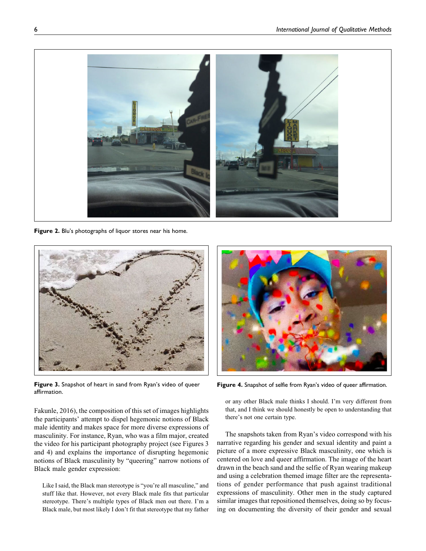

Figure 2. Blu's photographs of liquor stores near his home.



Figure 3. Snapshot of heart in sand from Ryan's video of queer affirmation.

Fakunle, 2016), the composition of this set of images highlights the participants' attempt to dispel hegemonic notions of Black male identity and makes space for more diverse expressions of masculinity. For instance, Ryan, who was a film major, created the video for his participant photography project (see Figures 3 and 4) and explains the importance of disrupting hegemonic notions of Black masculinity by "queering" narrow notions of Black male gender expression:

Like I said, the Black man stereotype is "you're all masculine," and stuff like that. However, not every Black male fits that particular stereotype. There's multiple types of Black men out there. I'm a Black male, but most likely I don't fit that stereotype that my father



Figure 4. Snapshot of selfie from Ryan's video of queer affirmation.

or any other Black male thinks I should. I'm very different from that, and I think we should honestly be open to understanding that there's not one certain type.

The snapshots taken from Ryan's video correspond with his narrative regarding his gender and sexual identity and paint a picture of a more expressive Black masculinity, one which is centered on love and queer affirmation. The image of the heart drawn in the beach sand and the selfie of Ryan wearing makeup and using a celebration themed image filter are the representations of gender performance that push against traditional expressions of masculinity. Other men in the study captured similar images that repositioned themselves, doing so by focusing on documenting the diversity of their gender and sexual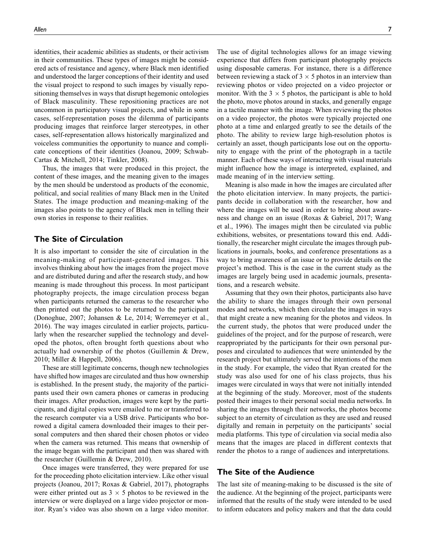identities, their academic abilities as students, or their activism in their communities. These types of images might be considered acts of resistance and agency, where Black men identified and understood the larger conceptions of their identity and used the visual project to respond to such images by visually repositioning themselves in ways that disrupt hegemonic ontologies of Black masculinity. These repositioning practices are not uncommon in participatory visual projects, and while in some cases, self-representation poses the dilemma of participants producing images that reinforce larger stereotypes, in other cases, self-representation allows historically marginalized and voiceless communities the opportunity to nuance and complicate conceptions of their identities (Joanou, 2009; Schwab-Cartas & Mitchell, 2014; Tinkler, 2008).

Thus, the images that were produced in this project, the content of these images, and the meaning given to the images by the men should be understood as products of the economic, political, and social realities of many Black men in the United States. The image production and meaning-making of the images also points to the agency of Black men in telling their own stories in response to their realities.

#### The Site of Circulation

It is also important to consider the site of circulation in the meaning-making of participant-generated images. This involves thinking about how the images from the project move and are distributed during and after the research study, and how meaning is made throughout this process. In most participant photography projects, the image circulation process began when participants returned the cameras to the researcher who then printed out the photos to be returned to the participant (Donoghue, 2007; Johansen & Le, 2014; Werremeyer et al., 2016). The way images circulated in earlier projects, particularly when the researcher supplied the technology and developed the photos, often brought forth questions about who actually had ownership of the photos (Guillemin & Drew, 2010; Miller & Happell, 2006).

These are still legitimate concerns, though new technologies have shifted how images are circulated and thus how ownership is established. In the present study, the majority of the participants used their own camera phones or cameras in producing their images. After production, images were kept by the participants, and digital copies were emailed to me or transferred to the research computer via a USB drive. Participants who borrowed a digital camera downloaded their images to their personal computers and then shared their chosen photos or video when the camera was returned. This means that ownership of the image began with the participant and then was shared with the researcher (Guillemin & Drew, 2010).

Once images were transferred, they were prepared for use for the proceeding photo elicitation interview. Like other visual projects (Joanou, 2017; Roxas & Gabriel, 2017), photographs were either printed out as  $3 \times 5$  photos to be reviewed in the interview or were displayed on a large video projector or monitor. Ryan's video was also shown on a large video monitor. The use of digital technologies allows for an image viewing experience that differs from participant photography projects using disposable cameras. For instance, there is a difference between reviewing a stack of  $3 \times 5$  photos in an interview than reviewing photos or video projected on a video projector or monitor. With the  $3 \times 5$  photos, the participant is able to hold the photo, move photos around in stacks, and generally engage in a tactile manner with the image. When reviewing the photos on a video projector, the photos were typically projected one photo at a time and enlarged greatly to see the details of the photo. The ability to review large high-resolution photos is certainly an asset, though participants lose out on the opportunity to engage with the print of the photograph in a tactile manner. Each of these ways of interacting with visual materials might influence how the image is interpreted, explained, and made meaning of in the interview setting.

Meaning is also made in how the images are circulated after the photo elicitation interview. In many projects, the participants decide in collaboration with the researcher, how and where the images will be used in order to bring about awareness and change on an issue (Roxas & Gabriel, 2017; Wang et al., 1996). The images might then be circulated via public exhibitions, websites, or presentations toward this end. Additionally, the researcher might circulate the images through publications in journals, books, and conference presentations as a way to bring awareness of an issue or to provide details on the project's method. This is the case in the current study as the images are largely being used in academic journals, presentations, and a research website.

Assuming that they own their photos, participants also have the ability to share the images through their own personal modes and networks, which then circulate the images in ways that might create a new meaning for the photos and videos. In the current study, the photos that were produced under the guidelines of the project, and for the purpose of research, were reappropriated by the participants for their own personal purposes and circulated to audiences that were unintended by the research project but ultimately served the intentions of the men in the study. For example, the video that Ryan created for the study was also used for one of his class projects, thus his images were circulated in ways that were not initially intended at the beginning of the study. Moreover, most of the students posted their images to their personal social media networks. In sharing the images through their networks, the photos become subject to an eternity of circulation as they are used and reused digitally and remain in perpetuity on the participants' social media platforms. This type of circulation via social media also means that the images are placed in different contexts that render the photos to a range of audiences and interpretations.

#### The Site of the Audience

The last site of meaning-making to be discussed is the site of the audience. At the beginning of the project, participants were informed that the results of the study were intended to be used to inform educators and policy makers and that the data could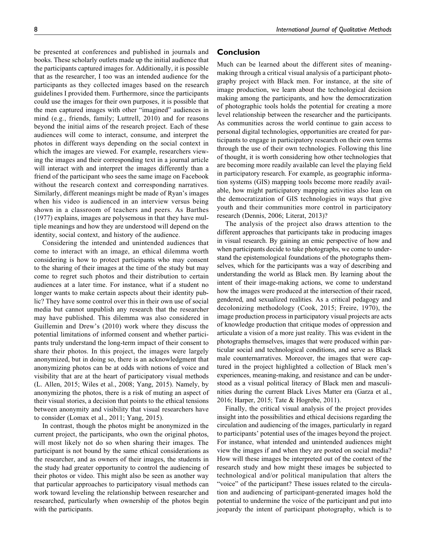be presented at conferences and published in journals and books. These scholarly outlets made up the initial audience that the participants captured images for. Additionally, it is possible that as the researcher, I too was an intended audience for the participants as they collected images based on the research guidelines I provided them. Furthermore, since the participants could use the images for their own purposes, it is possible that the men captured images with other "imagined" audiences in mind (e.g., friends, family; Luttrell, 2010) and for reasons beyond the initial aims of the research project. Each of these audiences will come to interact, consume, and interpret the photos in different ways depending on the social context in which the images are viewed. For example, researchers viewing the images and their corresponding text in a journal article will interact with and interpret the images differently than a friend of the participant who sees the same image on Facebook without the research context and corresponding narratives. Similarly, different meanings might be made of Ryan's images when his video is audienced in an interview versus being shown in a classroom of teachers and peers. As Barthes (1977) explains, images are polysemous in that they have multiple meanings and how they are understood will depend on the identity, social context, and history of the audience.

Considering the intended and unintended audiences that come to interact with an image, an ethical dilemma worth considering is how to protect participants who may consent to the sharing of their images at the time of the study but may come to regret such photos and their distribution to certain audiences at a later time. For instance, what if a student no longer wants to make certain aspects about their identity public? They have some control over this in their own use of social media but cannot unpublish any research that the researcher may have published. This dilemma was also considered in Guillemin and Drew's (2010) work where they discuss the potential limitations of informed consent and whether participants truly understand the long-term impact of their consent to share their photos. In this project, the images were largely anonymized, but in doing so, there is an acknowledgment that anonymizing photos can be at odds with notions of voice and visibility that are at the heart of participatory visual methods (L. Allen, 2015; Wiles et al., 2008; Yang, 2015). Namely, by anonymizing the photos, there is a risk of muting an aspect of their visual stories, a decision that points to the ethical tensions between anonymity and visibility that visual researchers have to consider (Lomax et al., 2011; Yang, 2015).

In contrast, though the photos might be anonymized in the current project, the participants, who own the original photos, will most likely not do so when sharing their images. The participant is not bound by the same ethical considerations as the researcher, and as owners of their images, the students in the study had greater opportunity to control the audiencing of their photos or video. This might also be seen as another way that particular approaches to participatory visual methods can work toward leveling the relationship between researcher and researched, particularly when ownership of the photos begin with the participants.

#### Conclusion

Much can be learned about the different sites of meaningmaking through a critical visual analysis of a participant photography project with Black men. For instance, at the site of image production, we learn about the technological decision making among the participants, and how the democratization of photographic tools holds the potential for creating a more level relationship between the researcher and the participants. As communities across the world continue to gain access to personal digital technologies, opportunities are created for participants to engage in participatory research on their own terms through the use of their own technologies. Following this line of thought, it is worth considering how other technologies that are becoming more readily available can level the playing field in participatory research. For example, as geographic information systems (GIS) mapping tools become more readily available, how might participatory mapping activities also lean on the democratization of GIS technologies in ways that give youth and their communities more control in participatory research (Dennis, 2006; Literat, 2013)?

The analysis of the project also draws attention to the different approaches that participants take in producing images in visual research. By gaining an emic perspective of how and when participants decide to take photographs, we come to understand the epistemological foundations of the photographs themselves, which for the participants was a way of describing and understanding the world as Black men. By learning about the intent of their image-making actions, we come to understand how the images were produced at the intersection of their raced, gendered, and sexualized realities. As a critical pedagogy and decolonizing methodology (Cook, 2015; Freire, 1970), the image production process in participatory visual projects are acts of knowledge production that critique modes of oppression and articulate a vision of a more just reality. This was evident in the photographs themselves, images that were produced within particular social and technological conditions, and serve as Black male counternarratives. Moreover, the images that were captured in the project highlighted a collection of Black men's experiences, meaning-making, and resistance and can be understood as a visual political literacy of Black men and masculinities during the current Black Lives Matter era (Garza et al., 2016; Harper, 2015; Tate & Hogrebe, 2011).

Finally, the critical visual analysis of the project provides insight into the possibilities and ethical decisions regarding the circulation and audiencing of the images, particularly in regard to participants' potential uses of the images beyond the project. For instance, what intended and unintended audiences might view the images if and when they are posted on social media? How will these images be interpreted out of the context of the research study and how might these images be subjected to technological and/or political manipulation that alters the "voice" of the participant? These issues related to the circulation and audiencing of participant-generated images hold the potential to undermine the voice of the participant and put into jeopardy the intent of participant photography, which is to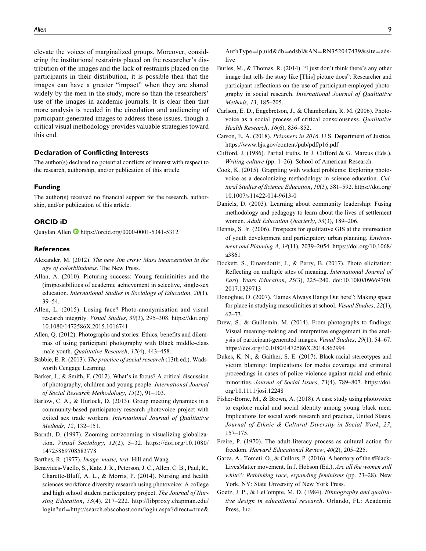elevate the voices of marginalized groups. Moreover, considering the institutional restraints placed on the researcher's distribution of the images and the lack of restraints placed on the participants in their distribution, it is possible then that the images can have a greater "impact" when they are shared widely by the men in the study, more so than the researchers' use of the images in academic journals. It is clear then that more analysis is needed in the circulation and audiencing of participant-generated images to address these issues, though a critical visual methodology provides valuable strategies toward this end.

#### Declaration of Conflicting Interests

The author(s) declared no potential conflicts of interest with respect to the research, authorship, and/or publication of this article.

#### Funding

The author(s) received no financial support for the research, authorship, and/or publication of this article.

#### ORCID iD

Quaylan Allen **b** <https://orcid.org/0000-0001-5341-5312>

#### References

- Alexander, M. (2012). The new Jim crow: Mass incarceration in the age of colorblindness. The New Press.
- Allan, A. (2010). Picturing success: Young femininities and the (im)possibilities of academic achievement in selective, single-sex education. International Studies in Sociology of Education, 20(1), 39–54.
- Allen, L. (2015). Losing face? Photo-anonymisation and visual research integrity. Visual Studies, 30(3), 295–308. [https://doi.org/](https://doi.org/10.1080/1472586X.2015.1016741) [10.1080/1472586X.2015.1016741](https://doi.org/10.1080/1472586X.2015.1016741)
- Allen, Q. (2012). Photographs and stories: Ethics, benefits and dilemmas of using participant photography with Black middle-class male youth. Qualitative Research, 12(4), 443–458.
- Babbie, E. R. (2013). The practice of social research (13th ed.). Wadsworth Cengage Learning.
- Barker, J., & Smith, F. (2012). What's in focus? A critical discussion of photography, children and young people. International Journal of Social Research Methodology, 15(2), 91–103.
- Barlow, C. A., & Hurlock, D. (2013). Group meeting dynamics in a community-based participatory research photovoice project with exited sex trade workers. International Journal of Qualitative Methods, 12, 132–151.
- Barndt, D. (1997). Zooming out/zooming in visualizing globalization. Visual Sociology, 12(2), 5–32. [https://doi.org/10.1080/](https://doi.org/10.1080/14725869708583778) [14725869708583778](https://doi.org/10.1080/14725869708583778)

Barthes, R. (1977). Image, music, text. Hill and Wang.

Benavides-Vaello, S., Katz, J. R., Peterson, J. C., Allen, C. B., Paul, R., Charette-Bluff, A. L., & Morris, P. (2014). Nursing and health sciences workforce diversity research using photovoice: A college and high school student participatory project. The Journal of Nursing Education, 53(4), 217-222. [http://libproxy.chapman.edu/](http://libproxy.chapman.edu/login?url=http://search.ebscohost.com/login.aspx?direct=true&AuthType=ip,uid&db=edsbl&AN=RN352047439&site=eds-live) [login?url](http://libproxy.chapman.edu/login?url=http://search.ebscohost.com/login.aspx?direct=true&AuthType=ip,uid&db=edsbl&AN=RN352047439&site=eds-live)=[http://search.ebscohost.com/login.aspx?direct](http://libproxy.chapman.edu/login?url=http://search.ebscohost.com/login.aspx?direct=true&AuthType=ip,uid&db=edsbl&AN=RN352047439&site=eds-live)=[true&](http://libproxy.chapman.edu/login?url=http://search.ebscohost.com/login.aspx?direct=true&AuthType=ip,uid&db=edsbl&AN=RN352047439&site=eds-live)

- Burles, M., & Thomas, R. (2014). "I just don't think there's any other image that tells the story like [This] picture does": Researcher and participant reflections on the use of participant-employed photography in social research. International Journal of Qualitative Methods, 13, 185–205.
- Carlson, E. D., Engebretson, J., & Chamberlain, R. M. (2006). Photovoice as a social process of critical consciousness. Qualitative Health Research, 16(6), 836–852.
- Carson, E. A. (2018). Prisoners in 2016. U.S. Department of Justice. <https://www.bjs.gov/content/pub/pdf/p16.pdf>
- Clifford, J. (1986). Partial truths. In J. Clifford & G. Marcus (Eds.), Writing culture (pp. 1–26). School of American Research.
- Cook, K. (2015). Grappling with wicked problems: Exploring photovoice as a decolonizing methodology in science education. Cultural Studies of Science Education, 10(3), 581–592. [https://doi.org/](https://doi.org/10.1007/s11422-014-9613-0) [10.1007/s11422-014-9613-0](https://doi.org/10.1007/s11422-014-9613-0)
- Daniels, D. (2003). Learning about community leadership: Fusing methodology and pedagogy to learn about the lives of settlement women. Adult Education Quarterly, 53(3), 189–206.
- Dennis, S. Jr. (2006). Prospects for qualitative GIS at the intersection of youth development and participatory urban planning. Environment and Planning A, 38(11), 2039–2054. [https://doi.org/10.1068/](https://doi.org/10.1068/a3861) [a3861](https://doi.org/10.1068/a3861)
- Dockett, S., Einarsdottir, J., & Perry, B. (2017). Photo elicitation: Reflecting on multiple sites of meaning. International Journal of Early Years Education, 25(3), 225–240. doi:10.1080/09669760. 2017.1329713
- Donoghue, D. (2007). "James Always Hangs Out here": Making space for place in studying masculinities at school. Visual Studies, 22(1), 62–73.
- Drew, S., & Guillemin, M. (2014). From photographs to findings: Visual meaning-making and interpretive engagement in the analysis of participant-generated images. Visual Studies, 29(1), 54–67. <https://doi.org/10.1080/1472586X.2014.862994>
- Dukes, K. N., & Gaither, S. E. (2017). Black racial stereotypes and victim blaming: Implications for media coverage and criminal proceedings in cases of police violence against racial and ethnic minorities. Journal of Social Issues, 73(4), 789–807. [https://doi.](https://doi.org/10.1111/josi.12248) [org/10.1111/josi.12248](https://doi.org/10.1111/josi.12248)
- Fisher-Borne, M., & Brown, A. (2018). A case study using photovoice to explore racial and social identity among young black men: Implications for social work research and practice, United States. Journal of Ethnic & Cultural Diversity in Social Work, 27, 157–175.
- Freire, P. (1970). The adult literacy process as cultural action for freedom. Harvard Educational Review, 40(2), 205–225.
- Garza, A., Tometi, O., & Cullors, P. (2016). A herstory of the #Black-LivesMatter movement. In J. Hobson (Ed.), Are all the women still white?: Rethinking race, expanding feminisms (pp. 23–28). New York, NY: State Unversity of New York Press.
- Goetz, J. P., & LeCompte, M. D. (1984). Ethnography and qualitative design in educational research. Orlando, FL: Academic Press, Inc.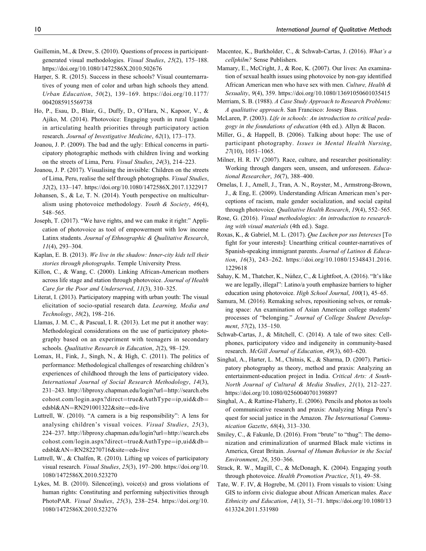- Harper, S. R. (2015). Success in these schools? Visual counternarratives of young men of color and urban high schools they attend. Urban Education, 50(2), 139–169. [https://doi.org/10.1177/](https://doi.org/10.1177/0042085915569738) [0042085915569738](https://doi.org/10.1177/0042085915569738)
- Ho, P., Esau, D., Blair, G., Duffy, D., O'Hara, N., Kapoor, V., & Ajiko, M. (2014). Photovoice: Engaging youth in rural Uganda in articulating health priorities through participatory action research. Journal of Investigative Medicine, 62(1), 173–173.
- Joanou, J. P. (2009). The bad and the ugly: Ethical concerns in participatory photographic methods with children living and working on the streets of Lima, Peru. Visual Studies, 24(3), 214–223.
- Joanou, J. P. (2017). Visualising the invisible: Children on the streets of Lima, Peru, realise the self through photographs. Visual Studies, 32(2), 133–147.<https://doi.org/10.1080/1472586X.2017.1322917>
- Johansen, S., & Le, T. N. (2014). Youth perspective on multiculturalism using photovoice methodology. Youth & Society, 46(4), 548–565.
- Joseph, T. (2017). "We have rights, and we can make it right:" Application of photovoice as tool of empowerment with low income Latinx students. Journal of Ethnographic & Qualitative Research, 11(4), 293–304.
- Kaplan, E. B. (2013). We live in the shadow: Inner-city kids tell their stories through photographs. Temple University Press.
- Killon, C., & Wang, C. (2000). Linking African-American mothers across life stage and station through photovoice. Journal of Health Care for the Poor and Underserved, 11(3), 310–325.
- Literat, I. (2013). Participatory mapping with urban youth: The visual elicitation of socio-spatial research data. Learning, Media and Technology, 38(2), 198–216.
- Llamas, J. M. C., & Pascual, I. R. (2013). Let me put it another way: Methodological considerations on the use of participatory photography based on an experiment with teenagers in secondary schools. Qualitative Research in Education, 2(2), 98–129.
- Lomax, H., Fink, J., Singh, N., & High, C. (2011). The politics of performance: Methodological challenges of researching children's experiences of childhood through the lens of participatory video. International Journal of Social Research Methodology, 14(3), 231–243. [http://libproxy.chapman.edu/login?url](http://libproxy.chapman.edu/login?url=http://search.ebscohost.com/login.aspx?direct=true&AuthType=ip,uid&db=edsbl&AN=RN291001322&site=eds-live)=[http://search.ebs](http://libproxy.chapman.edu/login?url=http://search.ebscohost.com/login.aspx?direct=true&AuthType=ip,uid&db=edsbl&AN=RN291001322&site=eds-live)  $\cosh(\text{conv} / \text{login}.\text{aspx?direct} = \text{true} \& \text{AuthType} = \text{ip}, \text{uid} \& \text{db} =$ [edsbl&AN](http://libproxy.chapman.edu/login?url=http://search.ebscohost.com/login.aspx?direct=true&AuthType=ip,uid&db=edsbl&AN=RN291001322&site=eds-live)=[RN291001322&site](http://libproxy.chapman.edu/login?url=http://search.ebscohost.com/login.aspx?direct=true&AuthType=ip,uid&db=edsbl&AN=RN291001322&site=eds-live)=[eds-live](http://libproxy.chapman.edu/login?url=http://search.ebscohost.com/login.aspx?direct=true&AuthType=ip,uid&db=edsbl&AN=RN291001322&site=eds-live)
- Luttrell, W. (2010). "A camera is a big responsibility": A lens for analysing children's visual voices. Visual Studies, 25(3), 224–237. [http://libproxy.chapman.edu/login?url](http://libproxy.chapman.edu/login?url=http://search.ebscohost.com/login.aspx?direct=true&AuthType=ip,uid&db=edsbl&AN=RN282270716&site=eds-live)=[http://search.ebs](http://libproxy.chapman.edu/login?url=http://search.ebscohost.com/login.aspx?direct=true&AuthType=ip,uid&db=edsbl&AN=RN282270716&site=eds-live) [cohost.com/login.aspx?direct](http://libproxy.chapman.edu/login?url=http://search.ebscohost.com/login.aspx?direct=true&AuthType=ip,uid&db=edsbl&AN=RN282270716&site=eds-live)=[true&AuthType](http://libproxy.chapman.edu/login?url=http://search.ebscohost.com/login.aspx?direct=true&AuthType=ip,uid&db=edsbl&AN=RN282270716&site=eds-live)=[ip,uid&db](http://libproxy.chapman.edu/login?url=http://search.ebscohost.com/login.aspx?direct=true&AuthType=ip,uid&db=edsbl&AN=RN282270716&site=eds-live)= [edsbl&AN](http://libproxy.chapman.edu/login?url=http://search.ebscohost.com/login.aspx?direct=true&AuthType=ip,uid&db=edsbl&AN=RN282270716&site=eds-live)=[RN282270716&site](http://libproxy.chapman.edu/login?url=http://search.ebscohost.com/login.aspx?direct=true&AuthType=ip,uid&db=edsbl&AN=RN282270716&site=eds-live)=[eds-live](http://libproxy.chapman.edu/login?url=http://search.ebscohost.com/login.aspx?direct=true&AuthType=ip,uid&db=edsbl&AN=RN282270716&site=eds-live)
- Luttrell, W., & Chalfen, R. (2010). Lifting up voices of participatory visual research. Visual Studies, 25(3), 197–200. [https://doi.org/10.](https://doi.org/10.1080/1472586X.2010.523270) [1080/1472586X.2010.523270](https://doi.org/10.1080/1472586X.2010.523270)
- Lykes, M. B. (2010). Silence(ing), voice(s) and gross violations of human rights: Constituting and performing subjectivities through PhotoPAR. Visual Studies, 25(3), 238–254. [https://doi.org/10.](https://doi.org/10.1080/1472586X.2010.523276) [1080/1472586X.2010.523276](https://doi.org/10.1080/1472586X.2010.523276)
- Macentee, K., Burkholder, C., & Schwab-Cartas, J. (2016). What's a cellphilm? Sense Publishers.
- Mamary, E., McCright, J., & Roe, K. (2007). Our lives: An examination of sexual health issues using photovoice by non-gay identified African American men who have sex with men. Culture, Health & Sexuality, 9(4), 359.<https://doi.org/10.1080/13691050601035415>
- Merriam, S. B. (1988). A Case Study Approach to Research Problems: A qualitative approach. San Francisco: Jossey Bass.
- McLaren, P. (2003). Life in schools: An introduction to critical pedagogy in the foundations of education (4th ed.). Allyn & Bacon.
- Miller, G., & Happell, B. (2006). Talking about hope: The use of participant photography. Issues in Mental Health Nursing, 27(10), 1051–1065.
- Milner, H. R. IV (2007). Race, culture, and researcher positionality: Working through dangers seen, unseen, and unforeseen. Educational Researcher, 36(7), 388–400.
- Ornelas, I. J., Amell, J., Tran, A. N., Royster, M., Armstrong-Brown, J., & Eng, E. (2009). Understanding African American men's perceptions of racism, male gender socialization, and social capital through photovoice. Qualitative Health Research, 19(4), 552-565.
- Rose, G. (2016). Visual methodologies: An introduction to researching with visual materials (4th ed.). Sage.
- Roxas, K., & Gabriel, M. L. (2017). Que Luchen por sus Intereses [To fight for your interests]: Unearthing critical counter-narratives of Spanish-speaking immigrant parents. Journal of Latinos & Education, 16(3), 243–262. [https://doi.org/10.1080/15348431.2016.](https://doi.org/10.1080/15348431.2016.1229618) [1229618](https://doi.org/10.1080/15348431.2016.1229618)
- Sahay, K. M., Thatcher, K., Núñez, C., & Lightfoot, A. (2016). "It's like we are legally, illegal": Latino/a youth emphasize barriers to higher education using photovoice. High School Journal, 100(1), 45-65.
- Samura, M. (2016). Remaking selves, repositioning selves, or remaking space: An examination of Asian American college students' processes of "belonging." Journal of College Student Development, 57(2), 135–150.
- Schwab-Cartas, J., & Mitchell, C. (2014). A tale of two sites: Cellphones, participatory video and indigeneity in community-based research. McGill Journal of Education, 49(3), 603-620.
- Singhal, A., Harter, L. M., Chitnis, K., & Sharma, D. (2007). Participatory photography as theory, method and praxis: Analyzing an entertainment-education project in India. Critical Arts: A South-North Journal of Cultural & Media Studies, 21(1), 212–227. <https://doi.org/10.1080/02560040701398897>
- Singhal, A., & Rattine-Flaherty, E. (2006). Pencils and photos as tools of communicative research and praxis: Analyzing Minga Peru's quest for social justice in the Amazon. The International Communication Gazette, 68(4), 313–330.
- Smiley, C., & Fakunle, D. (2016). From "brute" to "thug": The demonization and criminalization of unarmed Black male victims in America, Great Britain. Journal of Human Behavior in the Social Environment, 26, 350–366.
- Strack, R. W., Magill, C., & McDonagh, K. (2004). Engaging youth through photovoice. Health Promotion Practice, 5(1), 49–58.
- Tate, W. F. IV, & Hogrebe, M. (2011). From visuals to vision: Using GIS to inform civic dialogue about African American males. Race Ethnicity and Education, 14(1), 51–71. [https://doi.org/10.1080/13](https://doi.org/10.1080/13613324.2011.531980) [613324.2011.531980](https://doi.org/10.1080/13613324.2011.531980)